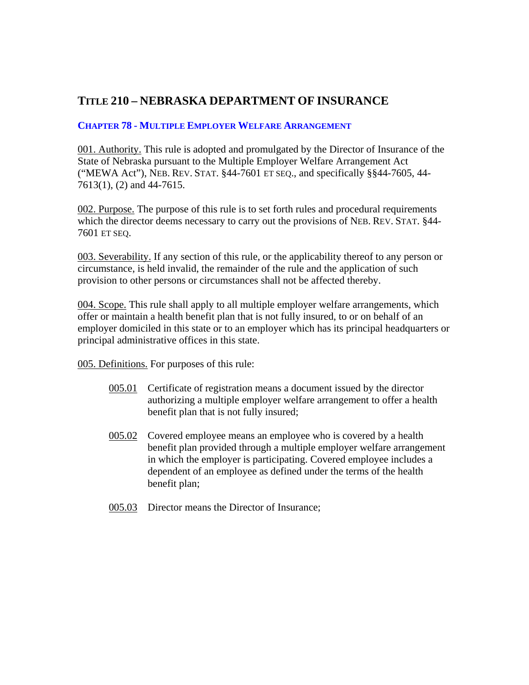## **TITLE 210 – NEBRASKA DEPARTMENT OF INSURANCE**

## **CHAPTER 78 - MULTIPLE EMPLOYER WELFARE ARRANGEMENT**

001. Authority. This rule is adopted and promulgated by the Director of Insurance of the State of Nebraska pursuant to the Multiple Employer Welfare Arrangement Act ("MEWA Act"), NEB. REV. STAT. §44-7601 ET SEQ., and specifically §§44-7605, 44- 7613(1), (2) and 44-7615.

002. Purpose. The purpose of this rule is to set forth rules and procedural requirements which the director deems necessary to carry out the provisions of NEB. REV. STAT. §44- 7601 ET SEQ.

003. Severability. If any section of this rule, or the applicability thereof to any person or circumstance, is held invalid, the remainder of the rule and the application of such provision to other persons or circumstances shall not be affected thereby.

004. Scope. This rule shall apply to all multiple employer welfare arrangements, which offer or maintain a health benefit plan that is not fully insured, to or on behalf of an employer domiciled in this state or to an employer which has its principal headquarters or principal administrative offices in this state.

005. Definitions. For purposes of this rule:

- 005.01 Certificate of registration means a document issued by the director authorizing a multiple employer welfare arrangement to offer a health benefit plan that is not fully insured;
- 005.02 Covered employee means an employee who is covered by a health benefit plan provided through a multiple employer welfare arrangement in which the employer is participating. Covered employee includes a dependent of an employee as defined under the terms of the health benefit plan;
- 005.03 Director means the Director of Insurance;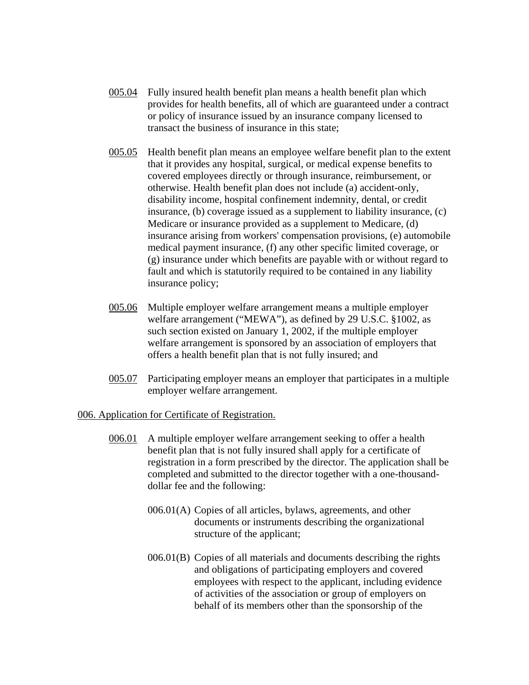- 005.04 Fully insured health benefit plan means a health benefit plan which provides for health benefits, all of which are guaranteed under a contract or policy of insurance issued by an insurance company licensed to transact the business of insurance in this state;
- 005.05 Health benefit plan means an employee welfare benefit plan to the extent that it provides any hospital, surgical, or medical expense benefits to covered employees directly or through insurance, reimbursement, or otherwise. Health benefit plan does not include (a) accident-only, disability income, hospital confinement indemnity, dental, or credit insurance, (b) coverage issued as a supplement to liability insurance, (c) Medicare or insurance provided as a supplement to Medicare, (d) insurance arising from workers' compensation provisions, (e) automobile medical payment insurance, (f) any other specific limited coverage, or (g) insurance under which benefits are payable with or without regard to fault and which is statutorily required to be contained in any liability insurance policy;
- 005.06 Multiple employer welfare arrangement means a multiple employer welfare arrangement ("MEWA"), as defined by 29 U.S.C. §1002, as such section existed on January 1, 2002, if the multiple employer welfare arrangement is sponsored by an association of employers that offers a health benefit plan that is not fully insured; and
- 005.07 Participating employer means an employer that participates in a multiple employer welfare arrangement.

## 006. Application for Certificate of Registration.

- 006.01 A multiple employer welfare arrangement seeking to offer a health benefit plan that is not fully insured shall apply for a certificate of registration in a form prescribed by the director. The application shall be completed and submitted to the director together with a one-thousanddollar fee and the following:
	- 006.01(A) Copies of all articles, bylaws, agreements, and other documents or instruments describing the organizational structure of the applicant;
	- 006.01(B) Copies of all materials and documents describing the rights and obligations of participating employers and covered employees with respect to the applicant, including evidence of activities of the association or group of employers on behalf of its members other than the sponsorship of the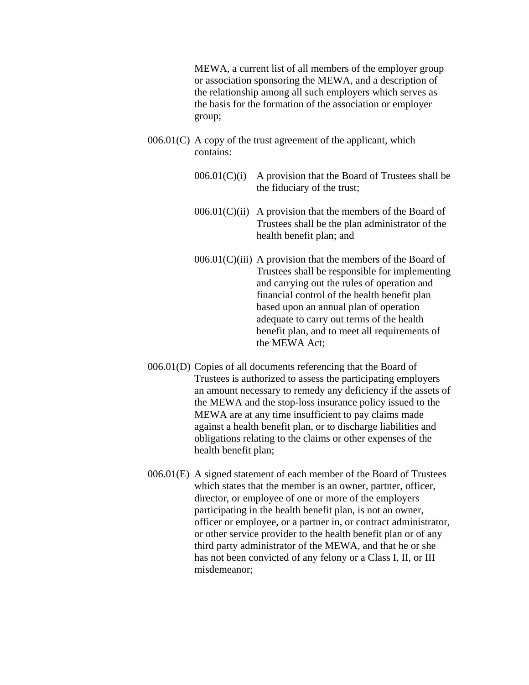MEWA, a current list of all members of the employer group or association sponsoring the MEWA, and a description of the relationship among all such employers which serves as the basis for the formation of the association or employer group;

- $006.01(C)$  A copy of the trust agreement of the applicant, which contains:
	- $006.01(C)(i)$  A provision that the Board of Trustees shall be the fiduciary of the trust;
	- $006.01(C(ii)$  A provision that the members of the Board of Trustees shall be the plan administrator of the health benefit plan; and
	- $006.01(C)$ (iii) A provision that the members of the Board of Trustees shall be responsible for implementing and carrying out the rules of operation and financial control of the health benefit plan based upon an annual plan of operation adequate to carry out terms of the health benefit plan, and to meet all requirements of the MEWA Act;
- 006.01(D) Copies of all documents referencing that the Board of Trustees is authorized to assess the participating employers an amount necessary to remedy any deficiency if the assets of the MEWA and the stop-loss insurance policy issued to the MEWA are at any time insufficient to pay claims made against a health benefit plan, or to discharge liabilities and obligations relating to the claims or other expenses of the health benefit plan;
- 006.01(E) A signed statement of each member of the Board of Trustees which states that the member is an owner, partner, officer, director, or employee of one or more of the employers participating in the health benefit plan, is not an owner, officer or employee, or a partner in, or contract administrator, or other service provider to the health benefit plan or of any third party administrator of the MEWA, and that he or she has not been convicted of any felony or a Class I, II, or III misdemeanor;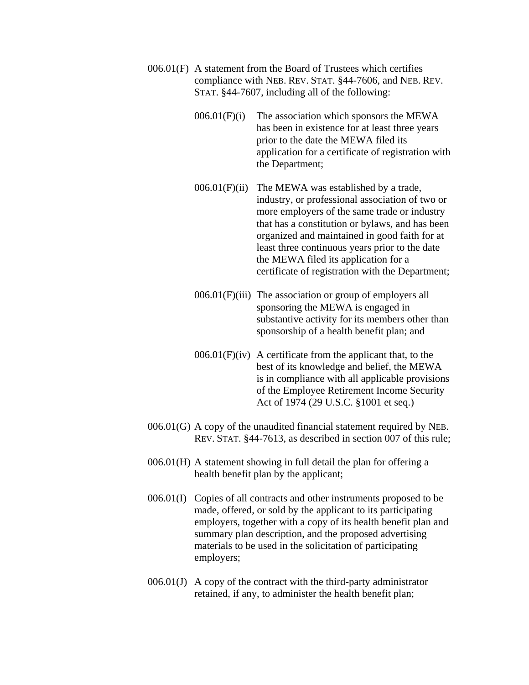- 006.01(F) A statement from the Board of Trustees which certifies compliance with NEB. REV. STAT. §44-7606, and NEB. REV. STAT. §44-7607, including all of the following:
	- $006.01(F)(i)$  The association which sponsors the MEWA has been in existence for at least three years prior to the date the MEWA filed its application for a certificate of registration with the Department;
	- $006.01(F)$ (ii) The MEWA was established by a trade, industry, or professional association of two or more employers of the same trade or industry that has a constitution or bylaws, and has been organized and maintained in good faith for at least three continuous years prior to the date the MEWA filed its application for a certificate of registration with the Department;
	- 006.01(F)(iii) The association or group of employers all sponsoring the MEWA is engaged in substantive activity for its members other than sponsorship of a health benefit plan; and
	- $006.01(F)(iv)$  A certificate from the applicant that, to the best of its knowledge and belief, the MEWA is in compliance with all applicable provisions of the Employee Retirement Income Security Act of 1974 (29 U.S.C. §1001 et seq.)
- 006.01(G) A copy of the unaudited financial statement required by NEB. REV. STAT. §44-7613, as described in section 007 of this rule;
- 006.01(H) A statement showing in full detail the plan for offering a health benefit plan by the applicant;
- 006.01(I) Copies of all contracts and other instruments proposed to be made, offered, or sold by the applicant to its participating employers, together with a copy of its health benefit plan and summary plan description, and the proposed advertising materials to be used in the solicitation of participating employers;
- 006.01(J) A copy of the contract with the third-party administrator retained, if any, to administer the health benefit plan;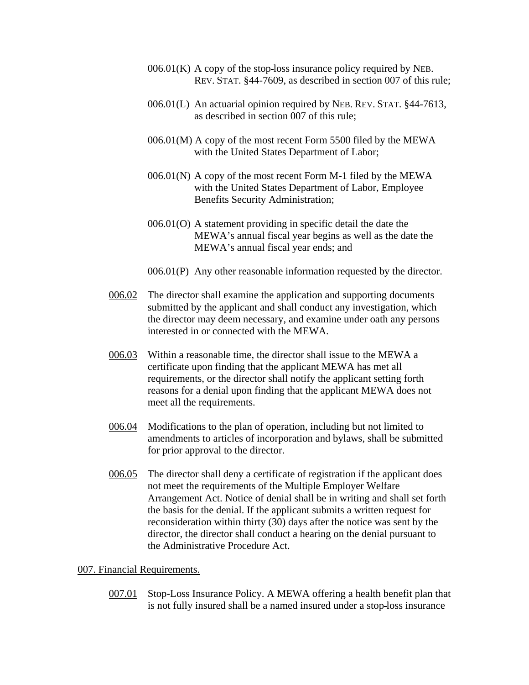- $006.01(K)$  A copy of the stop-loss insurance policy required by NEB. REV. STAT. §44-7609, as described in section 007 of this rule;
- 006.01(L) An actuarial opinion required by NEB. REV. STAT. §44-7613, as described in section 007 of this rule;
- 006.01(M) A copy of the most recent Form 5500 filed by the MEWA with the United States Department of Labor;
- $006.01(N)$  A copy of the most recent Form M-1 filed by the MEWA with the United States Department of Labor, Employee Benefits Security Administration;
- 006.01(O) A statement providing in specific detail the date the MEWA's annual fiscal year begins as well as the date the MEWA's annual fiscal year ends; and
- 006.01(P) Any other reasonable information requested by the director.
- 006.02 The director shall examine the application and supporting documents submitted by the applicant and shall conduct any investigation, which the director may deem necessary, and examine under oath any persons interested in or connected with the MEWA.
- 006.03 Within a reasonable time, the director shall issue to the MEWA a certificate upon finding that the applicant MEWA has met all requirements, or the director shall notify the applicant setting forth reasons for a denial upon finding that the applicant MEWA does not meet all the requirements.
- 006.04 Modifications to the plan of operation, including but not limited to amendments to articles of incorporation and bylaws, shall be submitted for prior approval to the director.
- 006.05 The director shall deny a certificate of registration if the applicant does not meet the requirements of the Multiple Employer Welfare Arrangement Act. Notice of denial shall be in writing and shall set forth the basis for the denial. If the applicant submits a written request for reconsideration within thirty (30) days after the notice was sent by the director, the director shall conduct a hearing on the denial pursuant to the Administrative Procedure Act.

## 007. Financial Requirements.

007.01 Stop-Loss Insurance Policy. A MEWA offering a health benefit plan that is not fully insured shall be a named insured under a stop loss insurance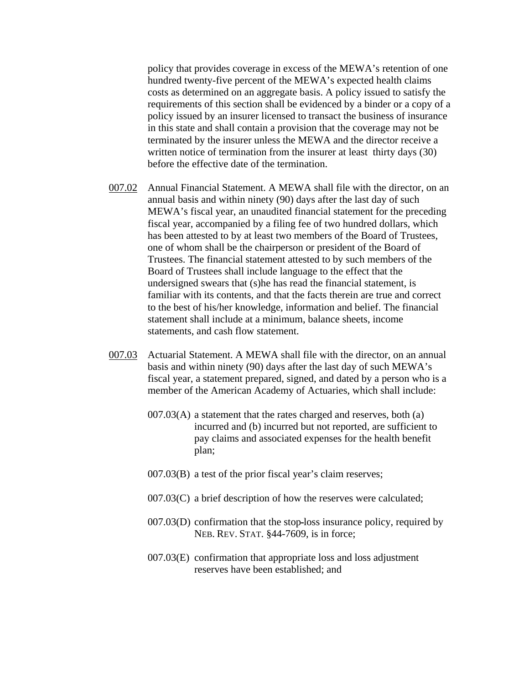policy that provides coverage in excess of the MEWA's retention of one hundred twenty-five percent of the MEWA's expected health claims costs as determined on an aggregate basis. A policy issued to satisfy the requirements of this section shall be evidenced by a binder or a copy of a policy issued by an insurer licensed to transact the business of insurance in this state and shall contain a provision that the coverage may not be terminated by the insurer unless the MEWA and the director receive a written notice of termination from the insurer at least thirty days (30) before the effective date of the termination.

- 007.02 Annual Financial Statement. A MEWA shall file with the director, on an annual basis and within ninety (90) days after the last day of such MEWA's fiscal year, an unaudited financial statement for the preceding fiscal year, accompanied by a filing fee of two hundred dollars, which has been attested to by at least two members of the Board of Trustees, one of whom shall be the chairperson or president of the Board of Trustees. The financial statement attested to by such members of the Board of Trustees shall include language to the effect that the undersigned swears that (s)he has read the financial statement, is familiar with its contents, and that the facts therein are true and correct to the best of his/her knowledge, information and belief. The financial statement shall include at a minimum, balance sheets, income statements, and cash flow statement.
- 007.03 Actuarial Statement. A MEWA shall file with the director, on an annual basis and within ninety (90) days after the last day of such MEWA's fiscal year, a statement prepared, signed, and dated by a person who is a member of the American Academy of Actuaries, which shall include:
	- $007.03(A)$  a statement that the rates charged and reserves, both (a) incurred and (b) incurred but not reported, are sufficient to pay claims and associated expenses for the health benefit plan;
	- 007.03(B) a test of the prior fiscal year's claim reserves;
	- 007.03(C) a brief description of how the reserves were calculated;
	- 007.03(D) confirmation that the stop loss insurance policy, required by NEB. REV. STAT. §44-7609, is in force;
	- 007.03(E) confirmation that appropriate loss and loss adjustment reserves have been established; and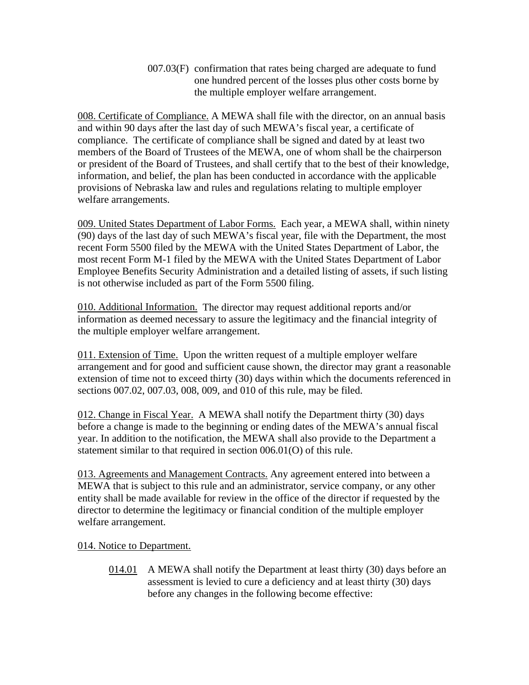007.03(F) confirmation that rates being charged are adequate to fund one hundred percent of the losses plus other costs borne by the multiple employer welfare arrangement.

008. Certificate of Compliance. A MEWA shall file with the director, on an annual basis and within 90 days after the last day of such MEWA's fiscal year, a certificate of compliance. The certificate of compliance shall be signed and dated by at least two members of the Board of Trustees of the MEWA, one of whom shall be the chairperson or president of the Board of Trustees, and shall certify that to the best of their knowledge, information, and belief, the plan has been conducted in accordance with the applicable provisions of Nebraska law and rules and regulations relating to multiple employer welfare arrangements.

009. United States Department of Labor Forms. Each year, a MEWA shall, within ninety (90) days of the last day of such MEWA's fiscal year, file with the Department, the most recent Form 5500 filed by the MEWA with the United States Department of Labor, the most recent Form M-1 filed by the MEWA with the United States Department of Labor Employee Benefits Security Administration and a detailed listing of assets, if such listing is not otherwise included as part of the Form 5500 filing.

010. Additional Information. The director may request additional reports and/or information as deemed necessary to assure the legitimacy and the financial integrity of the multiple employer welfare arrangement.

011. Extension of Time. Upon the written request of a multiple employer welfare arrangement and for good and sufficient cause shown, the director may grant a reasonable extension of time not to exceed thirty (30) days within which the documents referenced in sections 007.02, 007.03, 008, 009, and 010 of this rule, may be filed.

012. Change in Fiscal Year. A MEWA shall notify the Department thirty (30) days before a change is made to the beginning or ending dates of the MEWA's annual fiscal year. In addition to the notification, the MEWA shall also provide to the Department a statement similar to that required in section 006.01(O) of this rule.

013. Agreements and Management Contracts. Any agreement entered into between a MEWA that is subject to this rule and an administrator, service company, or any other entity shall be made available for review in the office of the director if requested by the director to determine the legitimacy or financial condition of the multiple employer welfare arrangement.

014. Notice to Department.

014.01 A MEWA shall notify the Department at least thirty (30) days before an assessment is levied to cure a deficiency and at least thirty (30) days before any changes in the following become effective: